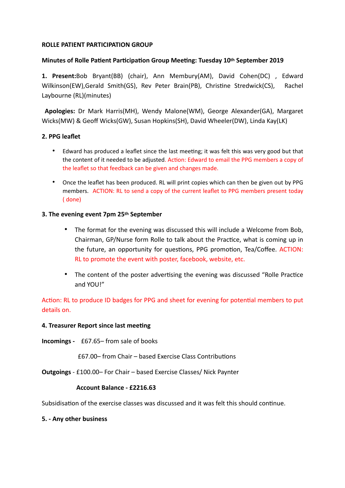# **ROLLE PATIENT PARTICIPATION GROUP**

## **Minutes of Rolle Patient Participation Group Meeting: Tuesday 10th September 2019**

**1. Present:**Bob Bryant(BB) (chair), Ann Membury(AM), David Cohen(DC) , Edward Wilkinson(EW),Gerald Smith(GS), Rev Peter Brain(PB), Christine Stredwick(CS), Rachel Laybourne (RL)(minutes)

 **Apologies:** Dr Mark Harris(MH), Wendy Malone(WM), George Alexander(GA), Margaret Wicks(MW) & Geoff Wicks(GW), Susan Hopkins(SH), David Wheeler(DW), Linda Kay(LK)

# **2. PPG leaflet**

- Edward has produced a leaflet since the last meeting; it was felt this was very good but that the content of it needed to be adjusted. Action: Edward to email the PPG members a copy of the leaflet so that feedback can be given and changes made.
- Once the leaflet has been produced. RL will print copies which can then be given out by PPG members. ACTION: RL to send a copy of the current leaflet to PPG members present today ( done)

## **3. The evening event 7pm 25th September**

- The format for the evening was discussed this will include a Welcome from Bob, Chairman, GP/Nurse form Rolle to talk about the Practice, what is coming up in the future, an opportunity for questions, PPG promotion, Tea/Coffee. ACTION: RL to promote the event with poster, facebook, website, etc.
- The content of the poster advertising the evening was discussed "Rolle Practice" and YOU!"

Action: RL to produce ID badges for PPG and sheet for evening for potential members to put details on.

#### **4. Treasurer Report since last meeting**

**Incomings -** £67.65– from sale of books

**£67.00– from Chair – based Exercise Class Contributions** 

**Outgoings** - £100.00– For Chair – based Exercise Classes/ Nick Paynter

## **Account Balance - £2216.63**

Subsidisation of the exercise classes was discussed and it was felt this should continue.

#### **5. - Any other business**